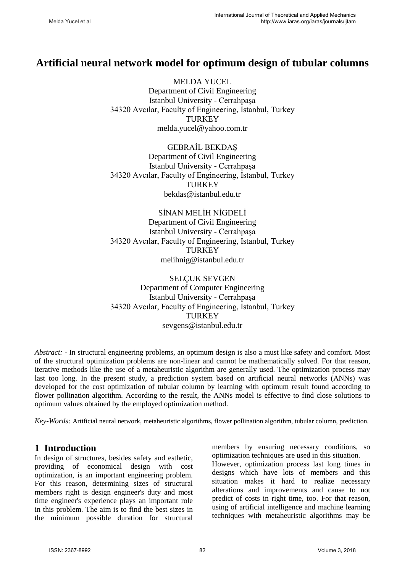# **Artificial neural network model for optimum design of tubular columns**

MELDA YUCEL Department of Civil Engineering Istanbul University - Cerrahpaşa 34320 Avcılar, Faculty of Engineering, Istanbul, Turkey **TURKEY** melda.yucel@yahoo.com.tr

GEBRAİL BEKDAŞ Department of Civil Engineering Istanbul University - Cerrahpaşa 34320 Avcılar, Faculty of Engineering, Istanbul, Turkey **TURKEY** bekdas@istanbul.edu.tr

SİNAN MELİH NİGDELİ Department of Civil Engineering Istanbul University - Cerrahpaşa 34320 Avcılar, Faculty of Engineering, Istanbul, Turkey **TURKEY** melihnig@istanbul.edu.tr

SELÇUK SEVGEN Department of Computer Engineering Istanbul University - Cerrahpaşa 34320 Avcılar, Faculty of Engineering, Istanbul, Turkey **TURKEY** sevgens@istanbul.edu.tr

*Abstract: -* In structural engineering problems, an optimum design is also a must like safety and comfort. Most of the structural optimization problems are non-linear and cannot be mathematically solved. For that reason, iterative methods like the use of a metaheuristic algorithm are generally used. The optimization process may last too long. In the present study, a prediction system based on artificial neural networks (ANNs) was developed for the cost optimization of tubular column by learning with optimum result found according to flower pollination algorithm. According to the result, the ANNs model is effective to find close solutions to optimum values obtained by the employed optimization method.

*Key-Words:* Artificial neural network, metaheuristic algorithms, flower pollination algorithm, tubular column, prediction.

# **1 Introduction**

In design of structures, besides safety and esthetic, providing of economical design with cost optimization, is an important engineering problem. For this reason, determining sizes of structural members right is design engineer's duty and most time engineer's experience plays an important role in this problem. The aim is to find the best sizes in the minimum possible duration for structural members by ensuring necessary conditions, so optimization techniques are used in this situation.

However, optimization process last long times in designs which have lots of members and this situation makes it hard to realize necessary alterations and improvements and cause to not predict of costs in right time, too. For that reason, using of artificial intelligence and machine learning techniques with metaheuristic algorithms may be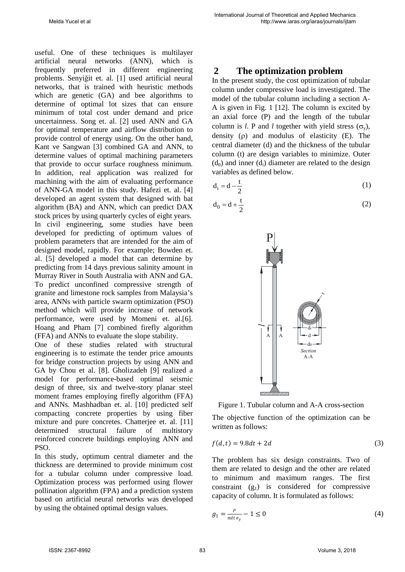useful. One of these techniques is multilayer artificial neural networks (ANN), which is frequently preferred in different engineering problems. Senyiğit et. al. [1] used artificial neural networks, that is trained with heuristic methods which are genetic (GA) and bee algorithms to determine of optimal lot sizes that can ensure minimum of total cost under demand and price uncertainness. Song et. al. [2] used ANN and GA for optimal temperature and airflow distribution to provide control of energy using. On the other hand, Kant ve Sangwan [3] combined GA and ANN, to determine values of optimal machining parameters that provide to occur surface roughness minimum. In addition, real application was realized for machining with the aim of evaluating performance of ANN-GA model in this study. Hafezi et. al. [4] developed an agent system that designed with bat algorithm (BA) and ANN, which can predict DAX stock prices by using quarterly cycles of eight years. In civil engineering, some studies have been developed for predicting of optimum values of problem parameters that are intended for the aim of designed model, rapidly. For example; Bowden et. al. [5] developed a model that can determine by predicting from 14 days previous salinity amount in Murray River in South Australia with ANN and GA. To predict unconfined compressive strength of granite and limestone rock samples from Malaysia's area, ANNs with particle swarm optimization (PSO) method which will provide increase of network performance, were used by Momeni et. al.[6]. Hoang and Pham [7] combined firefly algorithm (FFA) and ANNs to evaluate the slope stability.

One of these studies related with structural engineering is to estimate the tender price amounts for bridge construction projects by using ANN and GA by Chou et al. [8]. Gholizadeh [9] realized a model for performance-based optimal seismic design of three, six and twelve-story planar steel moment frames employing firefly algorithm (FFA) and ANNs. Mashhadban et. al. [10] predicted self compacting concrete properties by using fiber mixture and pure concretes. Chatterjee et. al. [11] determined structural failure of multistory reinforced concrete buildings employing ANN and PSO.

In this study, optimum central diameter and the thickness are determined to provide minimum cost for a tubular column under compressive load. Optimization process was performed using flower pollination algorithm (FPA) and a prediction system based on artificial neural networks was developed by using the obtained optimal design values.

# **2 The optimization problem**

In the present study, the cost optimization of tubular column under compressive load is investigated. The model of the tubular column including a section A-A is given in Fig. 1 [12]. The column is excited by an axial force (P) and the length of the tubular column is *l*. P and *l* together with yield stress  $(\sigma_v)$ , density (ρ) and modulus of elasticity (E). The central diameter (d) and the thickness of the tubular column (t) are design variables to minimize. Outer  $(d_0)$  and inner  $(d_i)$  diameter are related to the design variables as defined below.

$$
d_i = d - \frac{t}{2} \tag{1}
$$

$$
d_0 = d + \frac{t}{2} \tag{2}
$$



Figure 1. Tubular column and A-A cross-section

The objective function of the optimization can be written as follows:

$$
f(d,t) = 9.8dt + 2d\tag{3}
$$

The problem has six design constraints. Two of them are related to design and the other are related to minimum and maximum ranges. The first constraint  $(g_1)$  is considered for compressive capacity of column. It is formulated as follows:

$$
g_1 = \frac{P}{\pi dt \sigma_y} - 1 \le 0 \tag{4}
$$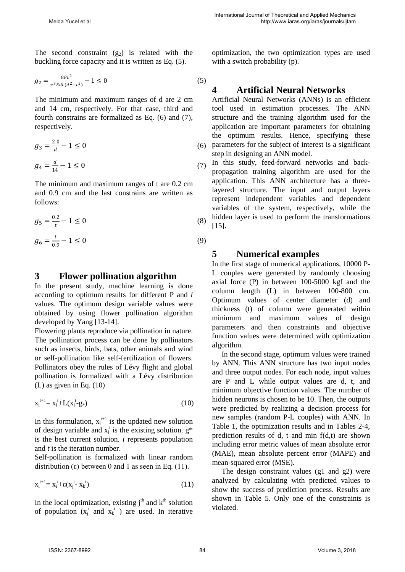The second constraint  $(g_2)$  is related with the buckling force capacity and it is written as Eq. (5).

$$
g_2 = \frac{8PL^2}{\pi^3 E dt (d^2 + t^2)} - 1 \le 0
$$
\n<sup>(5)</sup>

The minimum and maximum ranges of d are 2 cm and 14 cm, respectively. For that case, third and fourth constrains are formalized as Eq. (6) and (7), respectively.

$$
g_3 = \frac{2.0}{d} - 1 \le 0
$$
 (6)  

$$
g_4 = \frac{d}{14} - 1 \le 0
$$
 (7)

The minimum and maximum ranges of t are 0.2 cm and 0.9 cm and the last constrains are written as follows:

$$
g_5 = \frac{0.2}{t} - 1 \le 0
$$
 (8)

$$
g_6 = \frac{t}{0.9} - 1 \le 0 \tag{9}
$$

### **3 Flower pollination algorithm**

In the present study, machine learning is done according to optimum results for different P and *l* values. The optimum design variable values were obtained by using flower pollination algorithm developed by Yang [13-14].

Flowering plants reproduce via pollination in nature. The pollination process can be done by pollinators such as insects, birds, bats, other animals and wind or self-pollination like self-fertilization of flowers. Pollinators obey the rules of Lévy flight and global pollination is formalized with a Lévy distribution (L) as given in Eq. (10)

$$
x_i^{t+1} = x_i^t + L(x_i^t - g_*)
$$
 (10)

In this formulation,  $x_i^{t+1}$  is the updated new solution of design variable and  $x_i^t$  is the existing solution.  $g^*$ is the best current solution. *i* represents population and *t* is the iteration number.

Self-pollination is formalized with linear random distribution (ε) between 0 and 1 as seen in Eq. (11).

$$
x_i^{t+1} = x_i^t + \varepsilon (x_j^t - x_k^t) \tag{11}
$$

In the local optimization, existing  $i<sup>th</sup>$  and  $k<sup>th</sup>$  solution of population  $(x_j^t$  and  $x_k^t$ ) are used. In iterative optimization, the two optimization types are used with a switch probability (p).

# **4 Artificial Neural Networks**

Artificial Neural Networks (ANNs) is an efficient tool used in estimation processes. The ANN structure and the training algorithm used for the application are important parameters for obtaining the optimum results. Hence, specifying these parameters for the subject of interest is a significant step in designing an ANN model.

In this study, feed-forward networks and backpropagation training algorithm are used for the application. This ANN architecture has a threelayered structure. The input and output layers represent independent variables and dependent variables of the system, respectively, while the hidden layer is used to perform the transformations [15].

# **5 Numerical examples**

In the first stage of numerical applications, 10000 P-L couples were generated by randomly choosing axial force (P) in between 100-5000 kgf and the column length (L) in between 100-800 cm. Optimum values of center diameter (d) and thickness (t) of column were generated within minimum and maximum values of design parameters and then constraints and objective function values were determined with optimization algorithm.

In the second stage, optimum values were trained by ANN. This ANN structure has two input nodes and three output nodes. For each node, input values are P and L while output values are d, t, and minimum objective function values. The number of hidden neurons is chosen to be 10. Then, the outputs were predicted by realizing a decision process for new samples (random P-L couples) with ANN. In Table 1, the optimization results and in Tables 2-4, prediction results of d, t and min f(d,t) are shown including error metric values of mean absolute error (MAE), mean absolute percent error (MAPE) and mean-squared error (MSE).

The design constraint values (g1 and g2) were analyzed by calculating with predicted values to show the success of prediction process. Results are shown in Table 5. Only one of the constraints is violated.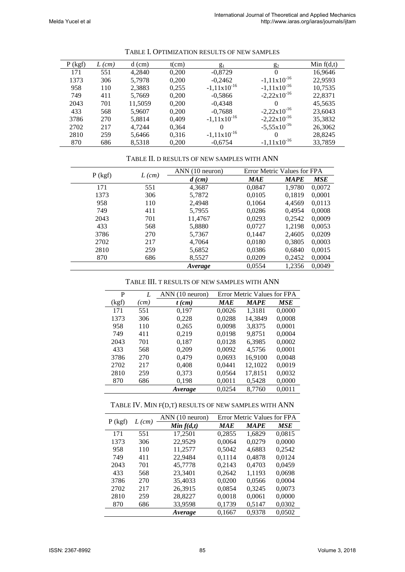| $P$ (kgf) | $L$ (cm) | $d$ (cm) | $t$ (cm) | g <sub>1</sub>   | $g_2$                   | Min $f(d,t)$ |
|-----------|----------|----------|----------|------------------|-------------------------|--------------|
| 171       | 551      | 4.2840   | 0,200    | $-0,8729$        |                         | 16,9646      |
| 1373      | 306      | 5.7978   | 0,200    | $-0,2462$        | $-1,11x10^{-16}$        | 22,9593      |
| 958       | 110      | 2,3883   | 0,255    | $-1,11x10^{-16}$ | $-1,11x10^{-16}$        | 10,7535      |
| 749       | 411      | 5,7669   | 0,200    | $-0,5866$        | $-2,22 \times 10^{-16}$ | 22,8371      |
| 2043      | 701      | 11,5059  | 0,200    | $-0.4348$        |                         | 45,5635      |
| 433       | 568      | 5,9607   | 0,200    | $-0,7688$        | $-2,22 \times 10^{-16}$ | 23,6043      |
| 3786      | 270      | 5.8814   | 0.409    | $-1,11x10^{-16}$ | $-2,22 \times 10^{-16}$ | 35,3832      |
| 2702      | 217      | 4.7244   | 0,364    | $\Omega$         | $-5,55 \times 10^{-16}$ | 26,3062      |
| 2810      | 259      | 5,6466   | 0,316    | $-1,11x10^{-16}$ |                         | 28,8245      |
| 870       | 686      | 8,5318   | 0,200    | $-0,6754$        | $-1,11x10^{-16}$        | 33,7859      |

#### TABLE I. OPTIMIZATION RESULTS OF NEW SAMPLES

#### TABLE II. D RESULTS OF NEW SAMPLES WITH ANN

|           |          | ANN (10 neuron) | Error Metric Values for FPA |             |            |
|-----------|----------|-----------------|-----------------------------|-------------|------------|
| $P$ (kgf) | $L$ (cm) | $d$ (cm)        | <b>MAE</b>                  | <b>MAPE</b> | <b>MSE</b> |
| 171       | 551      | 4,3687          | 0,0847                      | 1,9780      | 0,0072     |
| 1373      | 306      | 5,7872          | 0,0105                      | 0,1819      | 0,0001     |
| 958       | 110      | 2,4948          | 0,1064                      | 4,4569      | 0.0113     |
| 749       | 411      | 5,7955          | 0,0286                      | 0,4954      | 0,0008     |
| 2043      | 701      | 11,4767         | 0,0293                      | 0,2542      | 0,0009     |
| 433       | 568      | 5,8880          | 0,0727                      | 1,2198      | 0,0053     |
| 3786      | 270      | 5,7367          | 0,1447                      | 2,4605      | 0,0209     |
| 2702      | 217      | 4,7064          | 0,0180                      | 0,3805      | 0,0003     |
| 2810      | 259      | 5,6852          | 0,0386                      | 0,6840      | 0,0015     |
| 870       | 686      | 8,5527          | 0,0209                      | 0,2452      | 0,0004     |
|           |          | Average         | 0,0554                      | 1,2356      | 0,0049     |

#### TABLE III. T RESULTS OF NEW SAMPLES WITH ANN

| P     | L    | ANN (10 neuron) |            | <b>Error Metric Values for FPA</b> |            |
|-------|------|-----------------|------------|------------------------------------|------------|
| (kgf) | (cm) | $t$ (cm)        | <b>MAE</b> | <b>MAPE</b>                        | <b>MSE</b> |
| 171   | 551  | 0,197           | 0,0026     | 1,3181                             | 0,0000     |
| 1373  | 306  | 0,228           | 0,0288     | 14,3849                            | 0,0008     |
| 958   | 110  | 0,265           | 0,0098     | 3,8375                             | 0,0001     |
| 749   | 411  | 0,219           | 0,0198     | 9,8751                             | 0,0004     |
| 2043  | 701  | 0,187           | 0,0128     | 6,3985                             | 0,0002     |
| 433   | 568  | 0,209           | 0,0092     | 4,5756                             | 0,0001     |
| 3786  | 270  | 0,479           | 0,0693     | 16,9100                            | 0,0048     |
| 2702  | 217  | 0,408           | 0,0441     | 12,1022                            | 0,0019     |
| 2810  | 259  | 0,373           | 0,0564     | 17,8151                            | 0,0032     |
| 870   | 686  | 0,198           | 0,0011     | 0,5428                             | 0,0000     |
|       |      | <i>Average</i>  | 0.0254     | 8.7760                             | 0.0011     |

#### TABLE IV. MIN F(D,T) RESULTS OF NEW SAMPLES WITH ANN

| $P$ (kgf) | $L$ (cm) | ANN (10 neuron) |            | <b>Error Metric Values for FPA</b> |        |
|-----------|----------|-----------------|------------|------------------------------------|--------|
|           |          | Min $f(d,t)$    | <b>MAE</b> | <b>MAPE</b>                        | MSE    |
| 171       | 551      | 17,2501         | 0,2855     | 1,6829                             | 0,0815 |
| 1373      | 306      | 22,9529         | 0,0064     | 0,0279                             | 0,0000 |
| 958       | 110      | 11,2577         | 0,5042     | 4,6883                             | 0,2542 |
| 749       | 411      | 22,9484         | 0.1114     | 0,4878                             | 0.0124 |
| 2043      | 701      | 45,7778         | 0,2143     | 0,4703                             | 0.0459 |
| 433       | 568      | 23.3401         | 0.2642     | 1.1193                             | 0.0698 |
| 3786      | 270      | 35,4033         | 0,0200     | 0,0566                             | 0,0004 |
| 2702      | 217      | 26,3915         | 0,0854     | 0,3245                             | 0,0073 |
| 2810      | 259      | 28,8227         | 0,0018     | 0,0061                             | 0,0000 |
| 870       | 686      | 33,9598         | 0,1739     | 0,5147                             | 0,0302 |
|           |          | Average         | 0,1667     | 0.9378                             | 0.0502 |